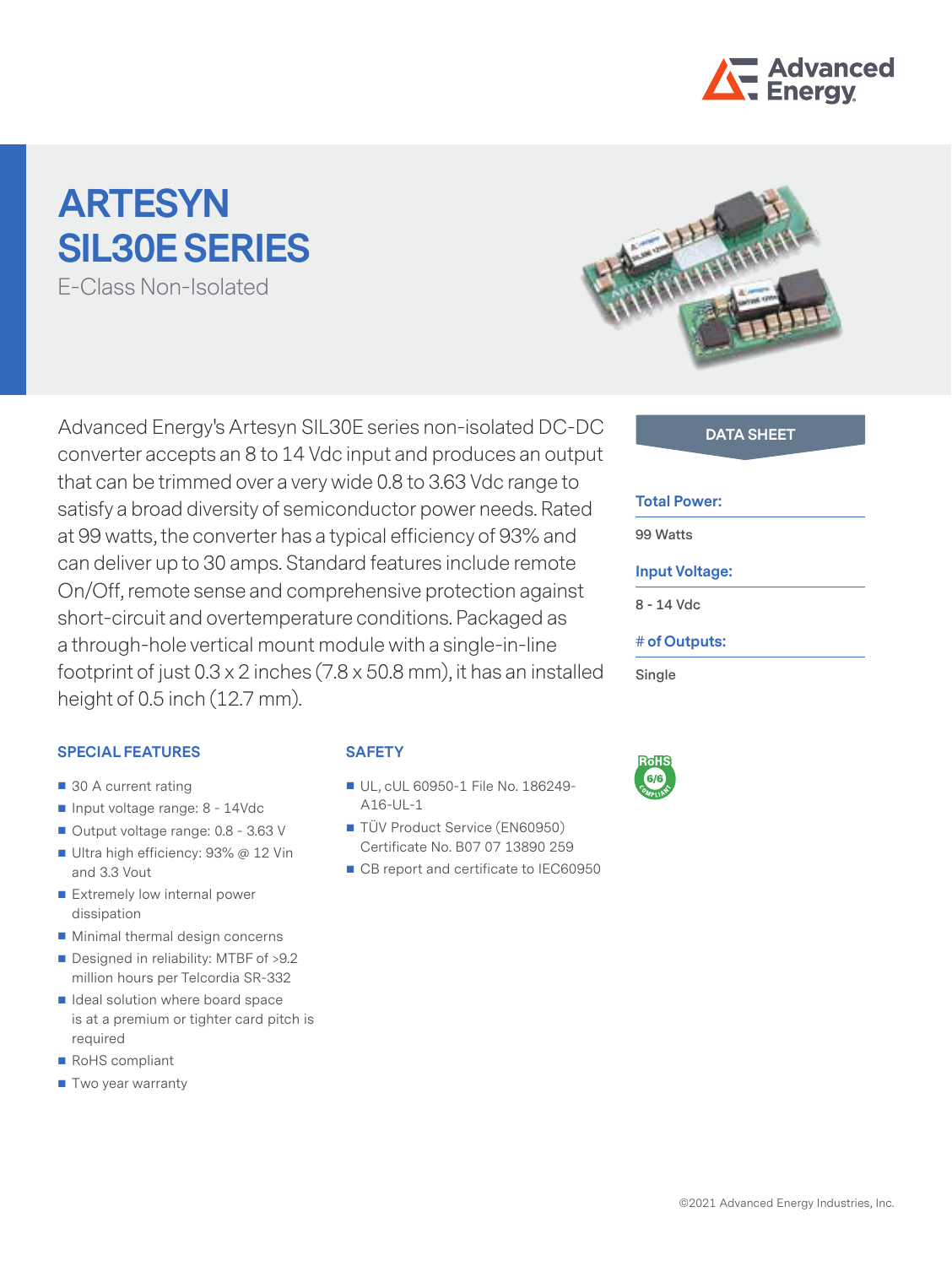

# **ARTESYN SIL30E SERIES**

E-Class Non-Isolated



Advanced Energy's Artesyn SIL30E series non-isolated DC-DC **DATA SHEET** converter accepts an 8 to 14 Vdc input and produces an output that can be trimmed over a very wide 0.8 to 3.63 Vdc range to satisfy a broad diversity of semiconductor power needs. Rated at 99 watts, the converter has a typical efficiency of 93% and can deliver up to 30 amps. Standard features include remote On/Off, remote sense and comprehensive protection against short-circuit and overtemperature conditions. Packaged as a through-hole vertical mount module with a single-in-line footprint of just 0.3 x 2 inches (7.8 x 50.8 mm), it has an installed height of 0.5 inch (12.7 mm).

#### **SPECIAL FEATURES**

- 30 A current rating
- Input voltage range: 8 14Vdc
- Output voltage range: 0.8 3.63 V
- Ultra high efficiency: 93% @ 12 Vin and 3.3 Vout
- Extremely low internal power dissipation
- **Minimal thermal design concerns**
- Designed in reliability: MTBF of >9.2 million hours per Telcordia SR-332
- I Ideal solution where board space is at a premium or tighter card pitch is required
- RoHS compliant
- Two year warranty

#### **SAFETY**

- UL, cUL 60950-1 File No. 186249-A16-UL-1
- TÜV Product Service (EN60950) Certificate No. B07 07 13890 259
- CB report and certificate to IEC60950

#### **Total Power:**

**99 Watts**

#### **Input Voltage:**

**8 - 14 Vdc**

#### **# of Outputs:**

**Single**

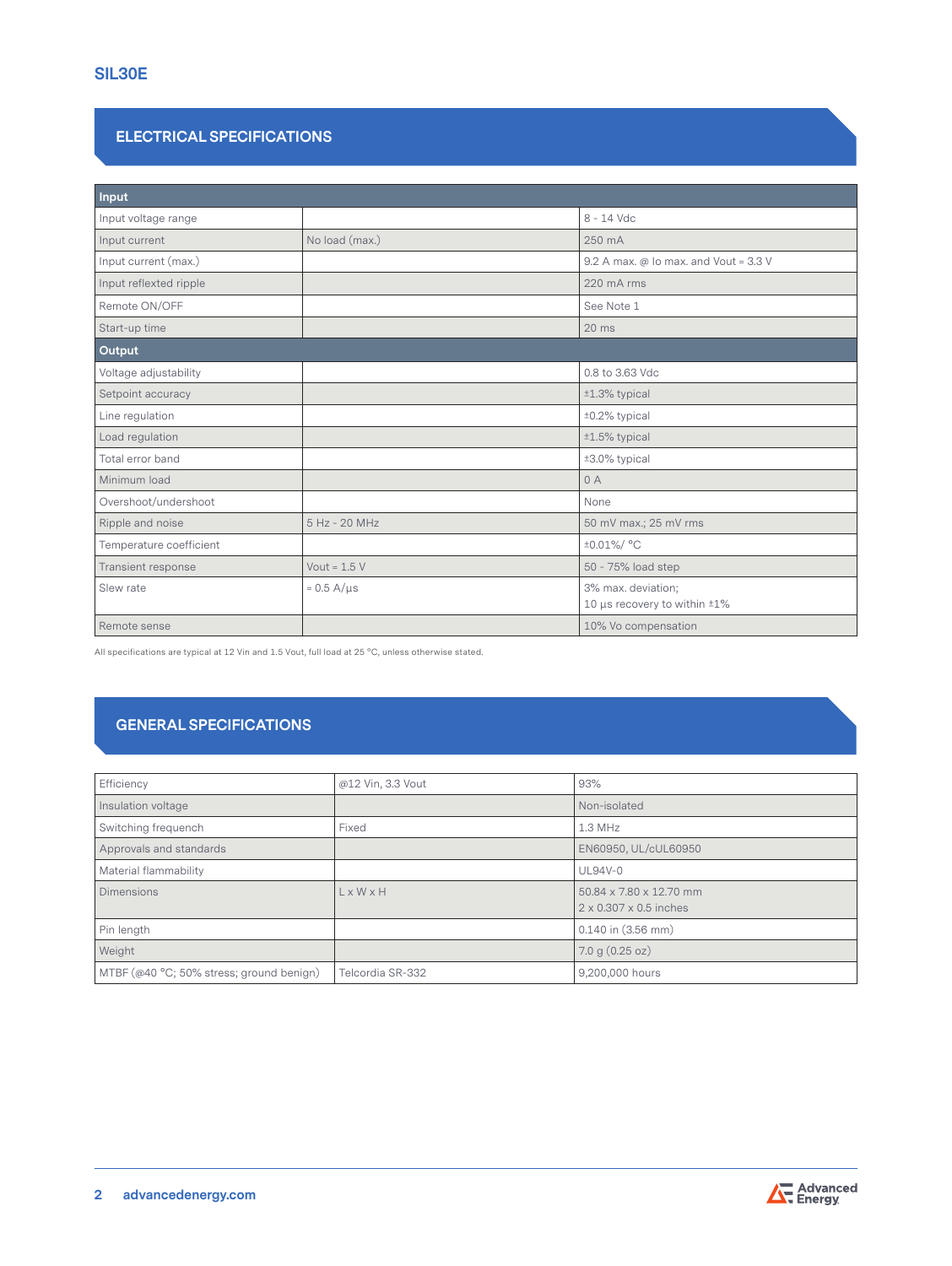### **ELECTRICAL SPECIFICATIONS**

| Input                   |                 |                                                               |
|-------------------------|-----------------|---------------------------------------------------------------|
| Input voltage range     |                 | 8 - 14 Vdc                                                    |
| Input current           | No load (max.)  | 250 mA                                                        |
| Input current (max.)    |                 | 9.2 A max. @ Io max. and Vout = 3.3 V                         |
| Input reflexted ripple  |                 | 220 mA rms                                                    |
| Remote ON/OFF           |                 | See Note 1                                                    |
| Start-up time           |                 | $20$ ms                                                       |
| Output                  |                 |                                                               |
| Voltage adjustability   |                 | 0.8 to 3.63 Vdc                                               |
| Setpoint accuracy       |                 | ±1.3% typical                                                 |
| Line regulation         |                 | ±0.2% typical                                                 |
| Load regulation         |                 | ±1.5% typical                                                 |
| Total error band        |                 | ±3.0% typical                                                 |
| Minimum load            |                 | 0A                                                            |
| Overshoot/undershoot    |                 | None                                                          |
| Ripple and noise        | 5 Hz - 20 MHz   | 50 mV max.; 25 mV rms                                         |
| Temperature coefficient |                 | ±0.01%/ °C                                                    |
| Transient response      | Vout = $1.5$ V  | 50 - 75% load step                                            |
| Slew rate               | $= 0.5 A/\mu s$ | 3% max. deviation;<br>10 $\mu$ s recovery to within $\pm 1\%$ |
| Remote sense            |                 | 10% Vo compensation                                           |

All specifications are typical at 12 Vin and 1.5 Vout, full load at 25 °C, unless otherwise stated.

# **GENERAL SPECIFICATIONS**

| Efficiency                               | @12 Vin, 3.3 Vout     | 93%                                                           |
|------------------------------------------|-----------------------|---------------------------------------------------------------|
| Insulation voltage                       |                       | Non-isolated                                                  |
| Switching frequench                      | Fixed                 | 1.3 MHz                                                       |
| Approvals and standards                  |                       | EN60950, UL/cUL60950                                          |
| Material flammability                    |                       | <b>UL94V-0</b>                                                |
| <b>Dimensions</b>                        | $L \times W \times H$ | 50.84 x 7.80 x 12.70 mm<br>$2 \times 0.307 \times 0.5$ inches |
| Pin length                               |                       | $0.140$ in $(3.56$ mm)                                        |
| Weight                                   |                       | 7.0 g (0.25 oz)                                               |
| MTBF (@40 °C; 50% stress; ground benign) | Telcordia SR-332      | 9,200,000 hours                                               |

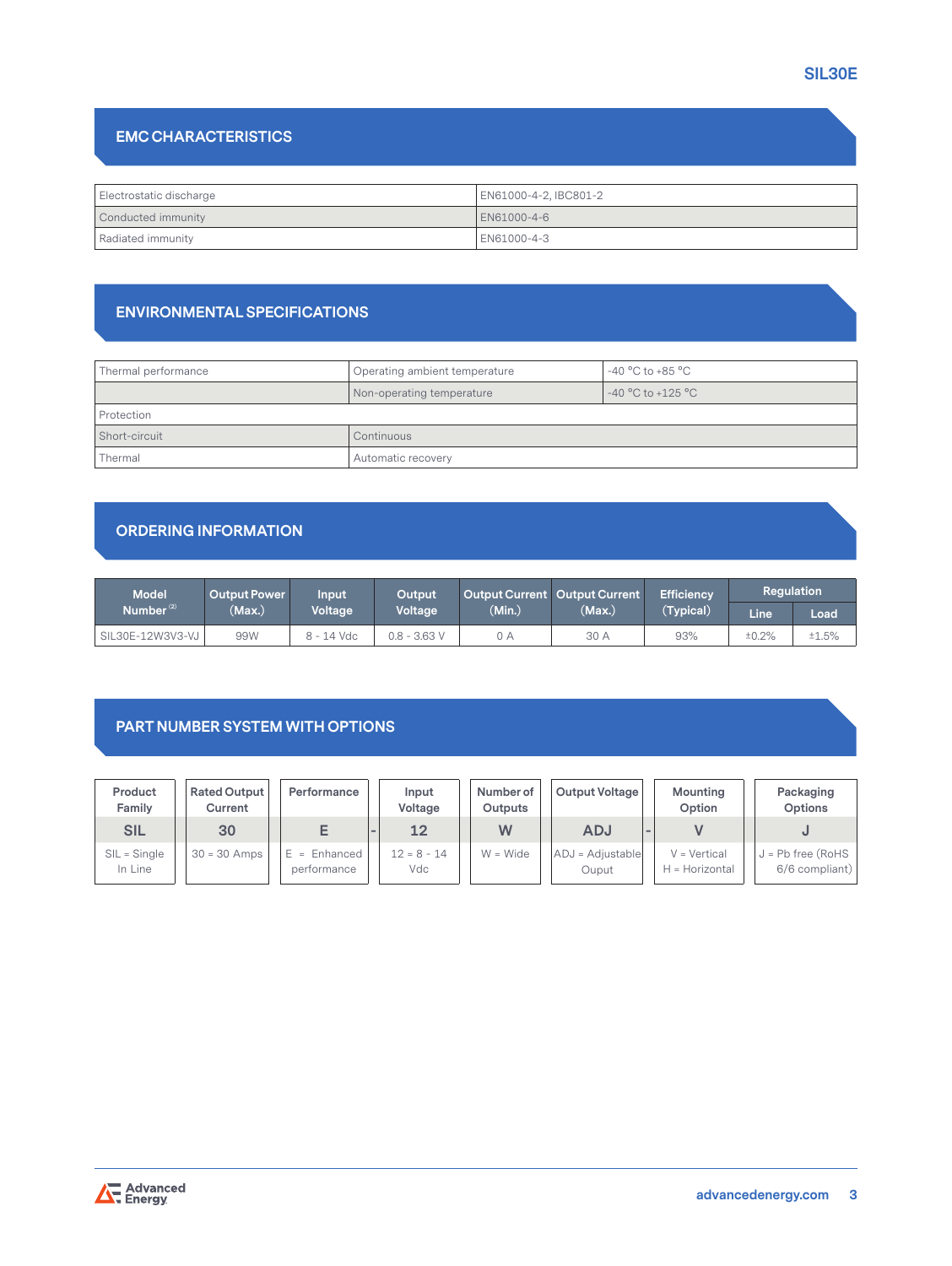# **EMC CHARACTERISTICS**

| Electrostatic discharge | EN61000-4-2, IBC801-2 |
|-------------------------|-----------------------|
| Conducted immunity      | EN61000-4-6           |
| Radiated immunity       | EN61000-4-3           |

# **ENVIRONMENTAL SPECIFICATIONS**

| Thermal performance | $-40\,^{\circ}\mathrm{C}$ to $+85\,^{\circ}\mathrm{C}$<br>Operating ambient temperature |  |  |  |
|---------------------|-----------------------------------------------------------------------------------------|--|--|--|
|                     | $-40 °C$ to $+125 °C$<br>Non-operating temperature                                      |  |  |  |
| Protection          |                                                                                         |  |  |  |
| Short-circuit       | Continuous                                                                              |  |  |  |
| Thermal             | Automatic recovery                                                                      |  |  |  |

# **ORDERING INFORMATION**

| <b>Model</b>     | <b>Output Power</b> | <b>Input</b>   | Output         | <b>Output Current   Output Current</b> |        | <b>Efficiency</b> | Regulation  |       |
|------------------|---------------------|----------------|----------------|----------------------------------------|--------|-------------------|-------------|-------|
| Number $(2)$     | (Max.               | <b>Voltage</b> | Voltage        | (Min.)                                 | (Max.) | (Typical)         | <b>Line</b> | Load  |
| SIL30E-12W3V3-VJ | 99W                 | $8 - 14$ Vdc   | $0.8 - 3.63$ V | 0 A                                    | 30 A   | 93%               | ±0.2%       | ±1.5% |

# **PART NUMBER SYSTEM WITH OPTIONS**

| Product<br>Family         | <b>Rated Output</b><br>Current | Performance                   | Input<br>Voltage     | Number of<br>Outputs | Output Voltage                | Mounting<br>Option                 | Packaging<br>Options                      |
|---------------------------|--------------------------------|-------------------------------|----------------------|----------------------|-------------------------------|------------------------------------|-------------------------------------------|
| <b>SIL</b>                | 30                             |                               | 12                   | W                    | <b>ADJ</b><br>m.              |                                    |                                           |
| $SIL = Single$<br>In Line | $30 = 30$ Amps                 | $E =$ Enhanced<br>performance | $12 = 8 - 14$<br>Vdc | $W = Wide$           | $[ADJ = Adjustable]$<br>Ouput | $V = Vertical$<br>$H = Horizontal$ | $J = Pb$ free (RoHS  <br>$6/6$ compliant) |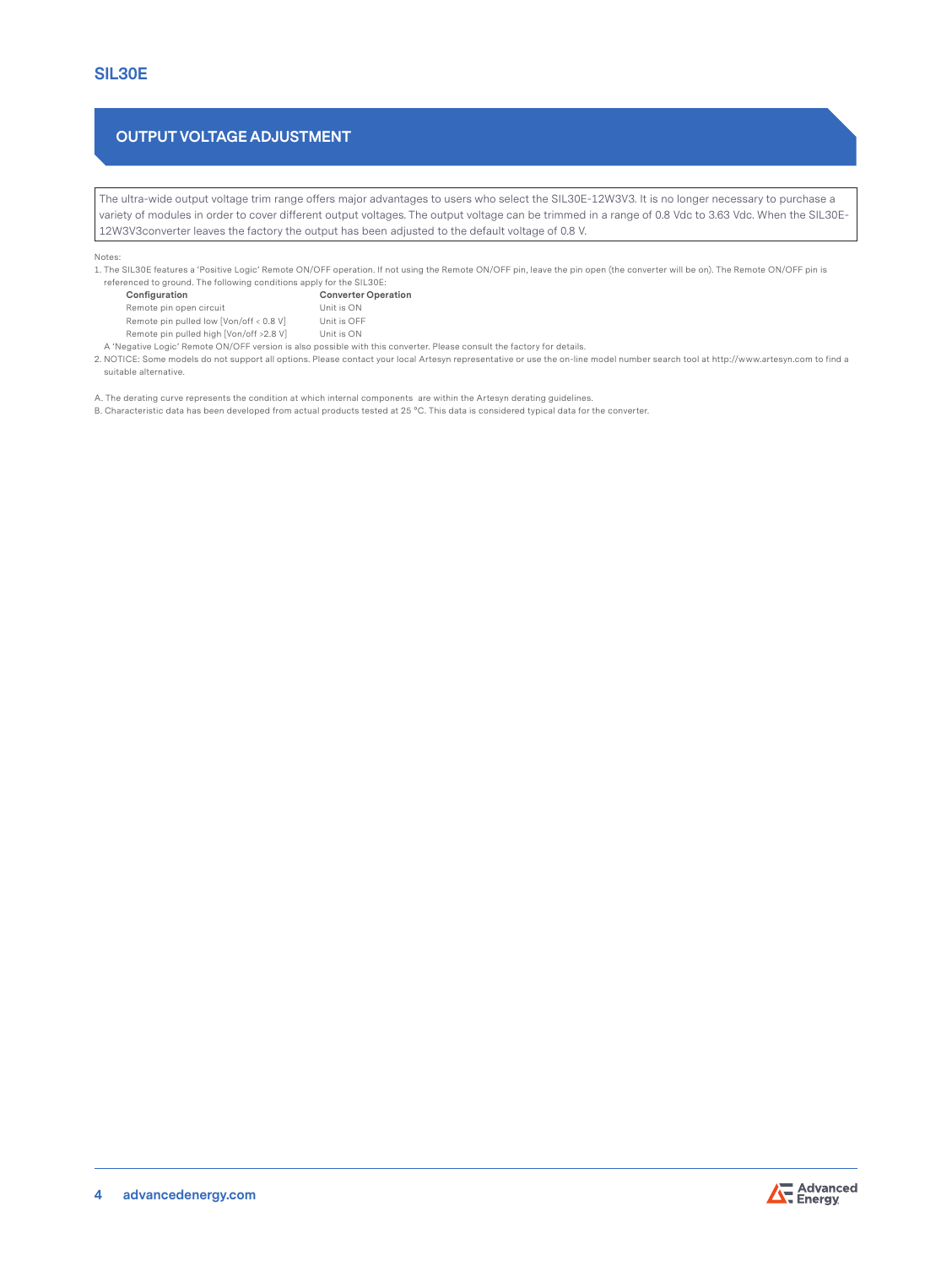# **OUTPUT VOLTAGE ADJUSTMENT**

The ultra-wide output voltage trim range offers major advantages to users who select the SIL30E-12W3V3. It is no longer necessary to purchase a variety of modules in order to cover different output voltages. The output voltage can be trimmed in a range of 0.8 Vdc to 3.63 Vdc. When the SIL30E-12W3V3converter leaves the factory the output has been adjusted to the default voltage of 0.8 V.

Notes:

1. The SIL30E features a 'Positive Logic' Remote ON/OFF operation. If not using the Remote ON/OFF pin, leave the pin open (the converter will be on). The Remote ON/OFF pin is referenced to ground. The following conditions apply for the SIL30E: **Configuration Converter Operation**

| Configuration                           | Converter O |
|-----------------------------------------|-------------|
| Remote pin open circuit                 | Unit is ON  |
| Remote pin pulled low [Von/off < 0.8 V] | Unit is OFF |
| Remote pin pulled high [Von/off >2.8 V] | Unit is ON  |
|                                         |             |

A 'Negative Logic' Remote ON/OFF version is also possible with this converter. Please consult the factory for details.

2. NOTICE: Some models do not support all options. Please contact your local Artesyn representative or use the on-line model number search tool at http://www.artesyn.com to find a suitable alternative.

A. The derating curve represents the condition at which internal components are within the Artesyn derating guidelines.

B. Characteristic data has been developed from actual products tested at 25 °C. This data is considered typical data for the converter.

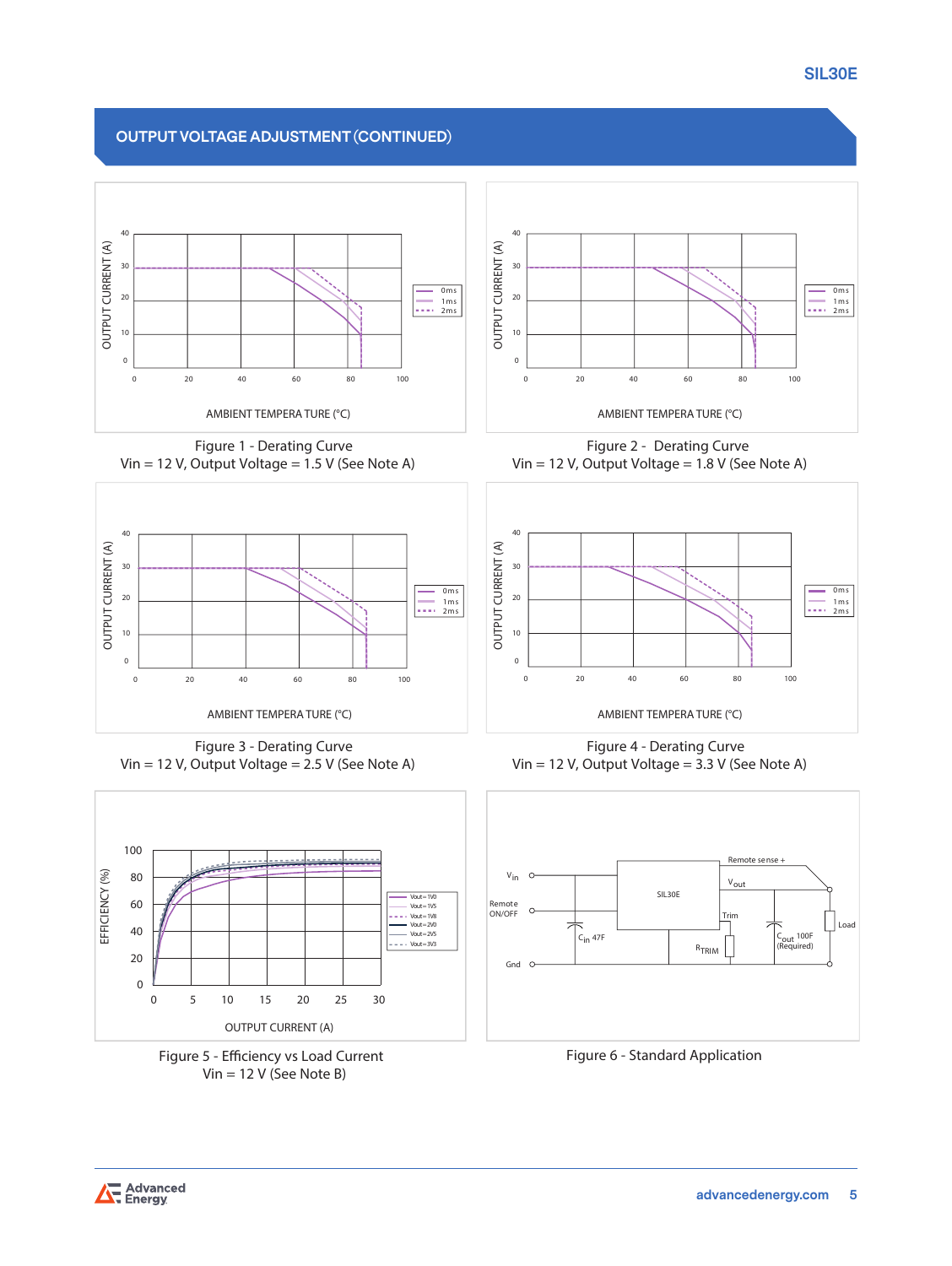# **OUTPUT VOLTAGE ADJUSTMENT (CONTINUED)**



**Figure 1 - Derating Curve Vin = 12 V, Output Voltage = 1.5 V (See Note A)**







**Figure 5 - Eciency vs Load Current Vin = 12 V (See Note B)**



**Figure 2 - Derating Curve Vin = 12 V, Output Voltage = 1.8 V (See Note A)**



**Figure 4 - Derating Curve Vin = 12 V, Output Voltage = 3.3 V (See Note A)**



**Figure 6 - Standard Application**

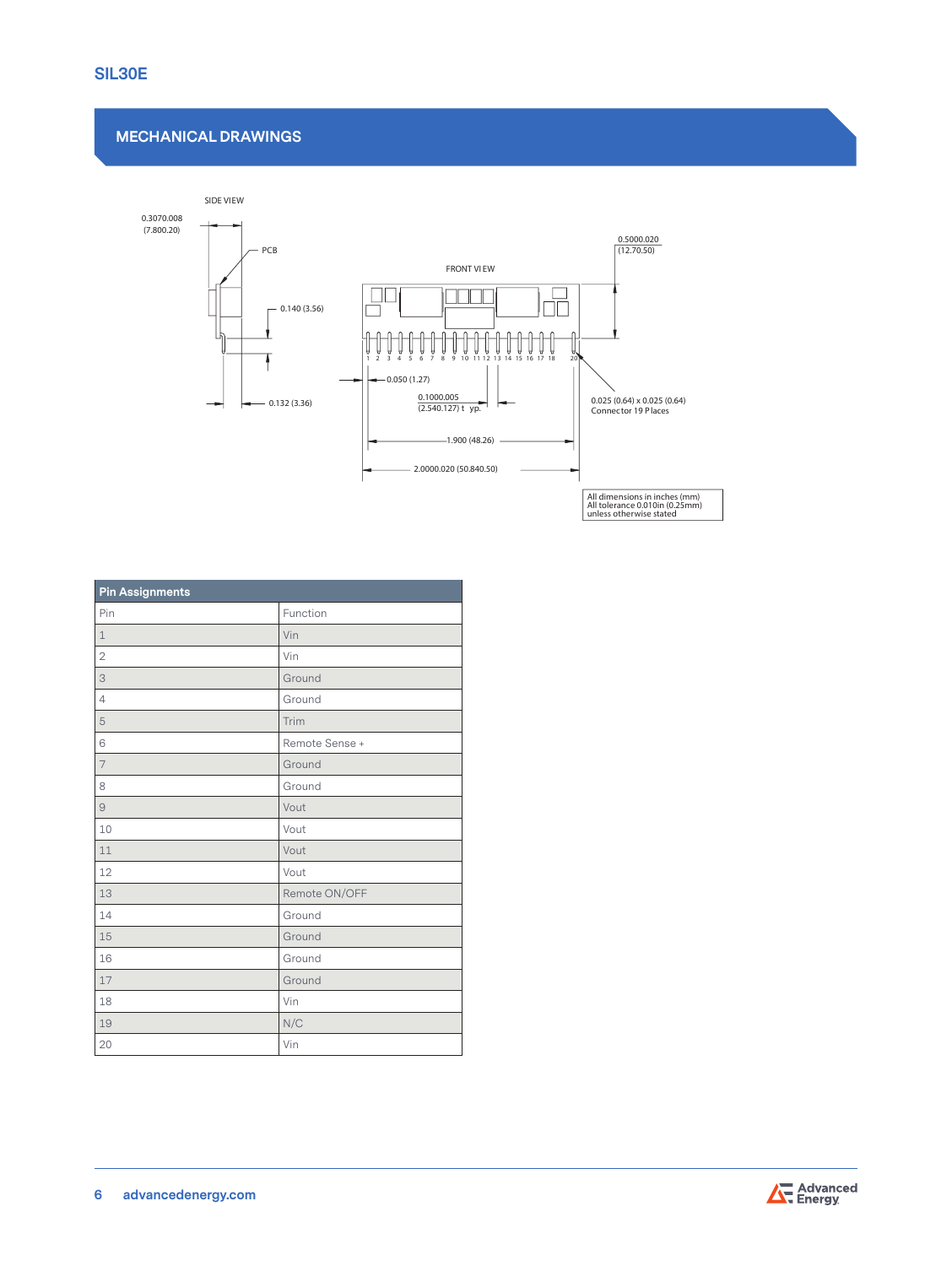#### **MECHANICAL DRAWINGS**



| <b>Pin Assignments</b> |                |
|------------------------|----------------|
| Pin                    | Function       |
| $\mathbf{1}$           | Vin            |
| $\overline{2}$         | Vin            |
| 3                      | Ground         |
| $\overline{4}$         | Ground         |
| 5                      | Trim           |
| 6                      | Remote Sense + |
| $\overline{7}$         | Ground         |
| 8                      | Ground         |
| 9                      | Vout           |
| 10                     | Vout           |
| 11                     | Vout           |
| 12                     | Vout           |
| 13                     | Remote ON/OFF  |
| 14                     | Ground         |
| 15                     | Ground         |
| 16                     | Ground         |
| 17                     | Ground         |
| 18                     | Vin            |
| 19                     | N/C            |
| 20                     | Vin            |